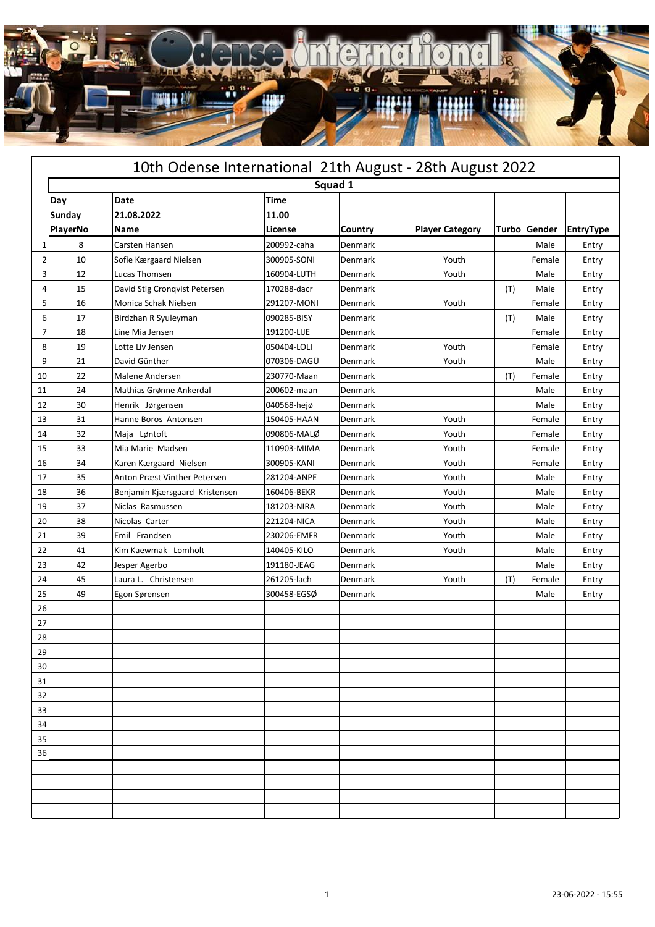

|    | 10th Odense International 21th August - 28th August 2022 |                                |             |                |                        |       |        |           |  |  |  |
|----|----------------------------------------------------------|--------------------------------|-------------|----------------|------------------------|-------|--------|-----------|--|--|--|
|    | Squad 1                                                  |                                |             |                |                        |       |        |           |  |  |  |
|    | Day                                                      | Date                           | <b>Time</b> |                |                        |       |        |           |  |  |  |
|    | Sunday                                                   | 21.08.2022                     | 11.00       |                |                        |       |        |           |  |  |  |
|    | PlayerNo                                                 | Name                           | License     | Country        | <b>Player Category</b> | Turbo | Gender | EntryType |  |  |  |
| 1  | 8                                                        | Carsten Hansen                 | 200992-caha | Denmark        |                        |       | Male   | Entry     |  |  |  |
| 2  | 10                                                       | Sofie Kærgaard Nielsen         | 300905-SONI | Denmark        | Youth                  |       | Female | Entry     |  |  |  |
| 3  | 12                                                       | Lucas Thomsen                  | 160904-LUTH | Denmark        | Youth                  |       | Male   | Entry     |  |  |  |
| 4  | 15                                                       | David Stig Cronqvist Petersen  | 170288-dacr | Denmark        |                        | (T)   | Male   | Entry     |  |  |  |
| 5  | 16                                                       | Monica Schak Nielsen           | 291207-MONI | Denmark        | Youth                  |       | Female | Entry     |  |  |  |
| 6  | 17                                                       | Birdzhan R Syuleyman           | 090285-BISY | Denmark        |                        | (T)   | Male   | Entry     |  |  |  |
| 7  | 18                                                       | Line Mia Jensen                | 191200-LIJE | Denmark        |                        |       | Female | Entry     |  |  |  |
| 8  | 19                                                       | Lotte Liv Jensen               | 050404-LOLI | Denmark        | Youth                  |       | Female | Entry     |  |  |  |
| 9  | 21                                                       | David Günther                  | 070306-DAGÜ | Denmark        | Youth                  |       | Male   | Entry     |  |  |  |
| 10 | 22                                                       | Malene Andersen                | 230770-Maan | Denmark        |                        | (T)   | Female | Entry     |  |  |  |
| 11 | 24                                                       | Mathias Grønne Ankerdal        | 200602-maan | Denmark        |                        |       | Male   | Entry     |  |  |  |
| 12 | 30                                                       | Henrik Jørgensen               | 040568-hejø | Denmark        |                        |       | Male   | Entry     |  |  |  |
| 13 | 31                                                       | Hanne Boros Antonsen           | 150405-HAAN | Denmark        | Youth                  |       | Female | Entry     |  |  |  |
| 14 | 32                                                       | Maja Løntoft                   | 090806-MALØ | Denmark        | Youth                  |       | Female | Entry     |  |  |  |
| 15 | 33                                                       | Mia Marie Madsen               | 110903-MIMA | Denmark        | Youth                  |       | Female | Entry     |  |  |  |
| 16 | 34                                                       | Karen Kærgaard Nielsen         | 300905-KANI | Denmark        | Youth                  |       | Female | Entry     |  |  |  |
| 17 | 35                                                       | Anton Præst Vinther Petersen   | 281204-ANPE | Denmark        | Youth                  |       | Male   | Entry     |  |  |  |
| 18 | 36                                                       | Benjamin Kjærsgaard Kristensen | 160406-BEKR | Denmark        | Youth                  |       | Male   | Entry     |  |  |  |
| 19 | 37                                                       | Niclas Rasmussen               | 181203-NIRA | Denmark        | Youth                  |       | Male   | Entry     |  |  |  |
| 20 | 38                                                       | Nicolas Carter                 | 221204-NICA | Denmark        | Youth                  |       | Male   | Entry     |  |  |  |
| 21 | 39                                                       | Emil Frandsen                  | 230206-EMFR | Denmark        | Youth                  |       | Male   | Entry     |  |  |  |
| 22 | 41                                                       | Kim Kaewmak Lomholt            | 140405-KILO | Denmark        | Youth                  |       | Male   | Entry     |  |  |  |
| 23 | 42                                                       | Jesper Agerbo                  | 191180-JEAG | Denmark        |                        |       | Male   | Entry     |  |  |  |
| 24 | 45                                                       | Laura L. Christensen           | 261205-lach | Denmark        | Youth                  | (T)   | Female | Entry     |  |  |  |
| 25 | 49                                                       | Egon Sørensen                  | 300458-EGSØ | <b>Denmark</b> |                        |       | Male   | Entry     |  |  |  |
| 26 |                                                          |                                |             |                |                        |       |        |           |  |  |  |
| 27 |                                                          |                                |             |                |                        |       |        |           |  |  |  |
| 28 |                                                          |                                |             |                |                        |       |        |           |  |  |  |
| 29 |                                                          |                                |             |                |                        |       |        |           |  |  |  |
| 30 |                                                          |                                |             |                |                        |       |        |           |  |  |  |
| 31 |                                                          |                                |             |                |                        |       |        |           |  |  |  |
| 32 |                                                          |                                |             |                |                        |       |        |           |  |  |  |
| 33 |                                                          |                                |             |                |                        |       |        |           |  |  |  |
| 34 |                                                          |                                |             |                |                        |       |        |           |  |  |  |
| 35 |                                                          |                                |             |                |                        |       |        |           |  |  |  |
| 36 |                                                          |                                |             |                |                        |       |        |           |  |  |  |
|    |                                                          |                                |             |                |                        |       |        |           |  |  |  |
|    |                                                          |                                |             |                |                        |       |        |           |  |  |  |
|    |                                                          |                                |             |                |                        |       |        |           |  |  |  |
|    |                                                          |                                |             |                |                        |       |        |           |  |  |  |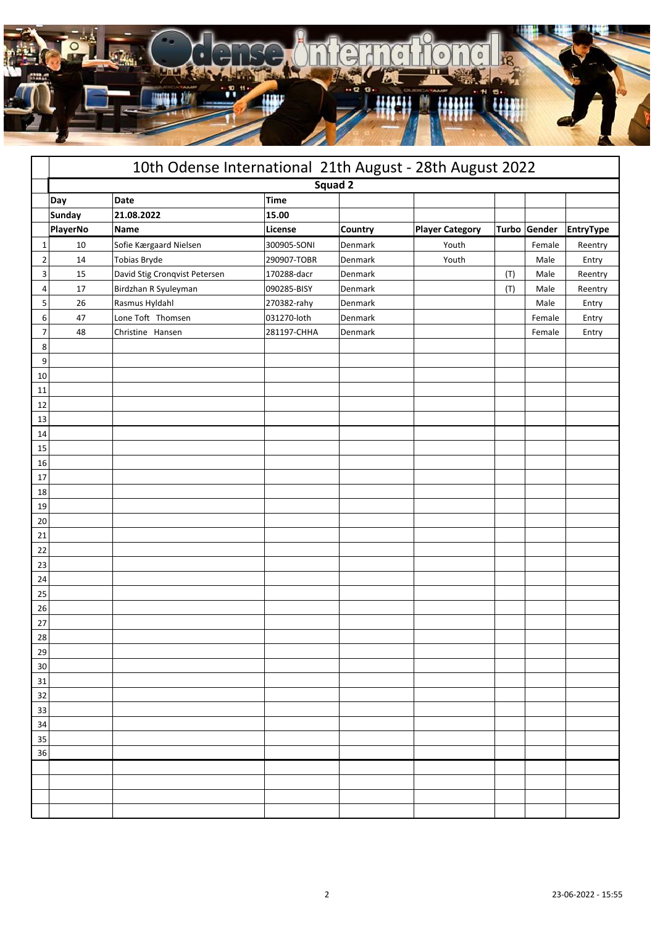

|                | 10th Odense International 21th August - 28th August 2022 |                               |             |         |                        |     |              |                  |  |
|----------------|----------------------------------------------------------|-------------------------------|-------------|---------|------------------------|-----|--------------|------------------|--|
|                |                                                          |                               | Squad 2     |         |                        |     |              |                  |  |
|                | Day                                                      | Date                          | <b>Time</b> |         |                        |     |              |                  |  |
|                | Sunday                                                   | 21.08.2022                    | 15.00       |         |                        |     |              |                  |  |
|                | PlayerNo                                                 | <b>Name</b>                   | License     | Country | <b>Player Category</b> |     | Turbo Gender | <b>EntryType</b> |  |
| $\mathbf{1}$   | $10\,$                                                   | Sofie Kærgaard Nielsen        | 300905-SONI | Denmark | Youth                  |     | Female       | Reentry          |  |
| $\overline{2}$ | 14                                                       | <b>Tobias Bryde</b>           | 290907-TOBR | Denmark | Youth                  |     | Male         | Entry            |  |
| 3              | 15                                                       | David Stig Cronqvist Petersen | 170288-dacr | Denmark |                        | (T) | Male         | Reentry          |  |
| 4              | 17                                                       | Birdzhan R Syuleyman          | 090285-BISY | Denmark |                        | (T) | Male         | Reentry          |  |
| 5              | 26                                                       | Rasmus Hyldahl                | 270382-rahy | Denmark |                        |     | Male         | Entry            |  |
| 6              | 47                                                       | Lone Toft Thomsen             | 031270-loth | Denmark |                        |     | Female       | Entry            |  |
| $\overline{7}$ | 48                                                       | Christine Hansen              | 281197-CHHA | Denmark |                        |     | Female       | Entry            |  |
| 8              |                                                          |                               |             |         |                        |     |              |                  |  |
| 9              |                                                          |                               |             |         |                        |     |              |                  |  |
| 10             |                                                          |                               |             |         |                        |     |              |                  |  |
| 11             |                                                          |                               |             |         |                        |     |              |                  |  |
| 12             |                                                          |                               |             |         |                        |     |              |                  |  |
| 13             |                                                          |                               |             |         |                        |     |              |                  |  |
| 14             |                                                          |                               |             |         |                        |     |              |                  |  |
| 15             |                                                          |                               |             |         |                        |     |              |                  |  |
| 16             |                                                          |                               |             |         |                        |     |              |                  |  |
| 17             |                                                          |                               |             |         |                        |     |              |                  |  |
| 18             |                                                          |                               |             |         |                        |     |              |                  |  |
| 19             |                                                          |                               |             |         |                        |     |              |                  |  |
| 20             |                                                          |                               |             |         |                        |     |              |                  |  |
| 21             |                                                          |                               |             |         |                        |     |              |                  |  |
| 22             |                                                          |                               |             |         |                        |     |              |                  |  |
| 23             |                                                          |                               |             |         |                        |     |              |                  |  |
| 24             |                                                          |                               |             |         |                        |     |              |                  |  |
| 25             |                                                          |                               |             |         |                        |     |              |                  |  |
| 26             |                                                          |                               |             |         |                        |     |              |                  |  |
| 27             |                                                          |                               |             |         |                        |     |              |                  |  |
| 28             |                                                          |                               |             |         |                        |     |              |                  |  |
| 29             |                                                          |                               |             |         |                        |     |              |                  |  |
| 30             |                                                          |                               |             |         |                        |     |              |                  |  |
| 31             |                                                          |                               |             |         |                        |     |              |                  |  |
| 32<br>33       |                                                          |                               |             |         |                        |     |              |                  |  |
| 34             |                                                          |                               |             |         |                        |     |              |                  |  |
|                |                                                          |                               |             |         |                        |     |              |                  |  |
| 35<br>36       |                                                          |                               |             |         |                        |     |              |                  |  |
|                |                                                          |                               |             |         |                        |     |              |                  |  |
|                |                                                          |                               |             |         |                        |     |              |                  |  |
|                |                                                          |                               |             |         |                        |     |              |                  |  |
|                |                                                          |                               |             |         |                        |     |              |                  |  |
|                |                                                          |                               |             |         |                        |     |              |                  |  |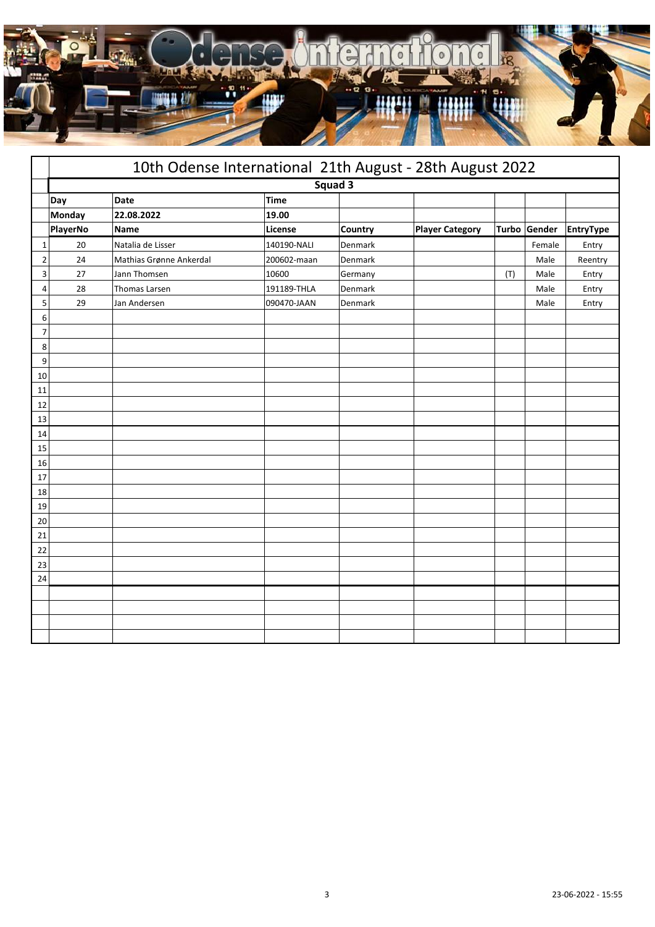

|    | 10th Odense International 21th August - 28th August 2022 |                         |             |                |                        |     |              |           |  |
|----|----------------------------------------------------------|-------------------------|-------------|----------------|------------------------|-----|--------------|-----------|--|
|    |                                                          |                         |             | Squad 3        |                        |     |              |           |  |
|    | Day                                                      | Date                    | <b>Time</b> |                |                        |     |              |           |  |
|    | Monday                                                   | 22.08.2022              | 19.00       |                |                        |     |              |           |  |
|    | PlayerNo                                                 | <b>Name</b>             | License     | <b>Country</b> | <b>Player Category</b> |     | Turbo Gender | EntryType |  |
| 1  | 20                                                       | Natalia de Lisser       | 140190-NALI | Denmark        |                        |     | Female       | Entry     |  |
| 2  | 24                                                       | Mathias Grønne Ankerdal | 200602-maan | Denmark        |                        |     | Male         | Reentry   |  |
| 3  | 27                                                       | Jann Thomsen            | 10600       | Germany        |                        | (T) | Male         | Entry     |  |
| 4  | 28                                                       | Thomas Larsen           | 191189-THLA | Denmark        |                        |     | Male         | Entry     |  |
| 5  | 29                                                       | Jan Andersen            | 090470-JAAN | Denmark        |                        |     | Male         | Entry     |  |
| 6  |                                                          |                         |             |                |                        |     |              |           |  |
| 7  |                                                          |                         |             |                |                        |     |              |           |  |
| 8  |                                                          |                         |             |                |                        |     |              |           |  |
| 9  |                                                          |                         |             |                |                        |     |              |           |  |
| 10 |                                                          |                         |             |                |                        |     |              |           |  |
| 11 |                                                          |                         |             |                |                        |     |              |           |  |
| 12 |                                                          |                         |             |                |                        |     |              |           |  |
| 13 |                                                          |                         |             |                |                        |     |              |           |  |
| 14 |                                                          |                         |             |                |                        |     |              |           |  |
| 15 |                                                          |                         |             |                |                        |     |              |           |  |
| 16 |                                                          |                         |             |                |                        |     |              |           |  |
| 17 |                                                          |                         |             |                |                        |     |              |           |  |
| 18 |                                                          |                         |             |                |                        |     |              |           |  |
| 19 |                                                          |                         |             |                |                        |     |              |           |  |
| 20 |                                                          |                         |             |                |                        |     |              |           |  |
| 21 |                                                          |                         |             |                |                        |     |              |           |  |
| 22 |                                                          |                         |             |                |                        |     |              |           |  |
| 23 |                                                          |                         |             |                |                        |     |              |           |  |
| 24 |                                                          |                         |             |                |                        |     |              |           |  |
|    |                                                          |                         |             |                |                        |     |              |           |  |
|    |                                                          |                         |             |                |                        |     |              |           |  |
|    |                                                          |                         |             |                |                        |     |              |           |  |
|    |                                                          |                         |             |                |                        |     |              |           |  |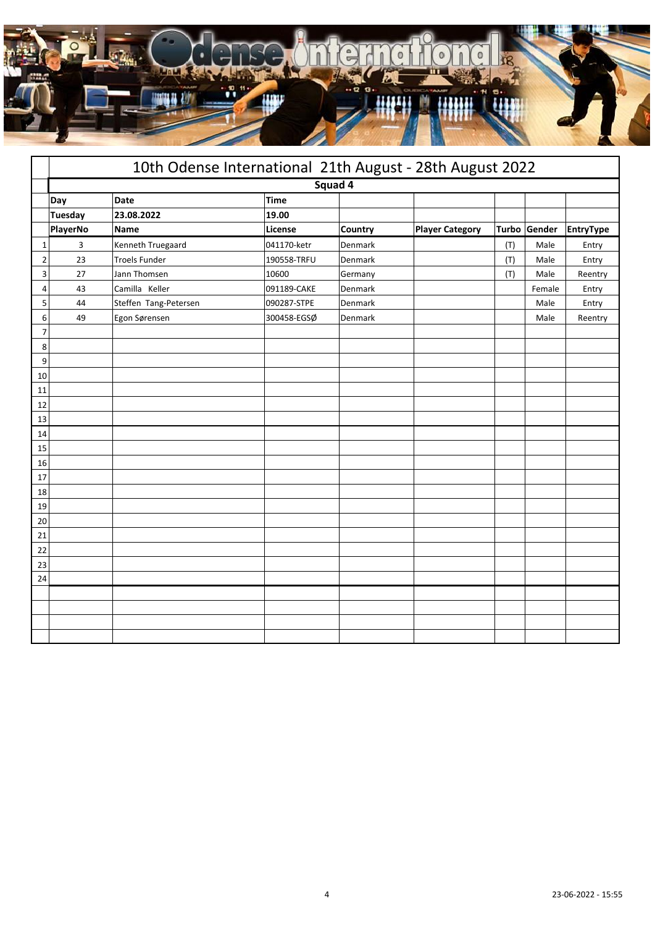

|                |                | 10th Odense International 21th August - 28th August 2022 |             |                |                        |     |              |                  |
|----------------|----------------|----------------------------------------------------------|-------------|----------------|------------------------|-----|--------------|------------------|
|                |                |                                                          | Squad 4     |                |                        |     |              |                  |
|                | Day            | Date                                                     | <b>Time</b> |                |                        |     |              |                  |
|                | <b>Tuesday</b> | 23.08.2022                                               | 19.00       |                |                        |     |              |                  |
|                | PlayerNo       | Name                                                     | License     | <b>Country</b> | <b>Player Category</b> |     | Turbo Gender | <b>EntryType</b> |
| 1              | 3              | Kenneth Truegaard                                        | 041170-ketr | Denmark        |                        | (T) | Male         | Entry            |
| $\overline{2}$ | 23             | <b>Troels Funder</b>                                     | 190558-TRFU | Denmark        |                        | (T) | Male         | Entry            |
| 3              | 27             | Jann Thomsen                                             | 10600       | Germany        |                        | (T) | Male         | Reentry          |
| 4              | 43             | Camilla Keller                                           | 091189-CAKE | Denmark        |                        |     | Female       | Entry            |
| 5              | 44             | Steffen Tang-Petersen                                    | 090287-STPE | Denmark        |                        |     | Male         | Entry            |
| 6              | 49             | Egon Sørensen                                            | 300458-EGSØ | Denmark        |                        |     | Male         | Reentry          |
| 7              |                |                                                          |             |                |                        |     |              |                  |
| 8              |                |                                                          |             |                |                        |     |              |                  |
| 9              |                |                                                          |             |                |                        |     |              |                  |
| 10             |                |                                                          |             |                |                        |     |              |                  |
| 11             |                |                                                          |             |                |                        |     |              |                  |
| 12             |                |                                                          |             |                |                        |     |              |                  |
| 13             |                |                                                          |             |                |                        |     |              |                  |
| 14             |                |                                                          |             |                |                        |     |              |                  |
| 15             |                |                                                          |             |                |                        |     |              |                  |
| 16             |                |                                                          |             |                |                        |     |              |                  |
| 17             |                |                                                          |             |                |                        |     |              |                  |
| 18             |                |                                                          |             |                |                        |     |              |                  |
| 19             |                |                                                          |             |                |                        |     |              |                  |
| 20             |                |                                                          |             |                |                        |     |              |                  |
| 21             |                |                                                          |             |                |                        |     |              |                  |
| 22             |                |                                                          |             |                |                        |     |              |                  |
| 23             |                |                                                          |             |                |                        |     |              |                  |
| 24             |                |                                                          |             |                |                        |     |              |                  |
|                |                |                                                          |             |                |                        |     |              |                  |
|                |                |                                                          |             |                |                        |     |              |                  |
|                |                |                                                          |             |                |                        |     |              |                  |
|                |                |                                                          |             |                |                        |     |              |                  |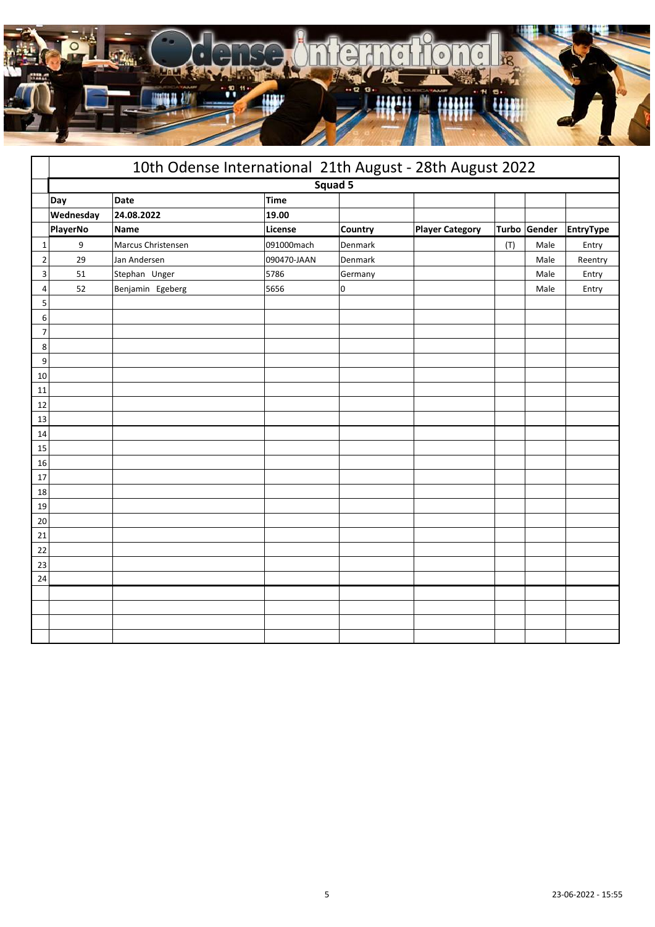

|                |           | 10th Odense International 21th August - 28th August 2022 |             |         |                        |     |              |                  |
|----------------|-----------|----------------------------------------------------------|-------------|---------|------------------------|-----|--------------|------------------|
|                |           |                                                          | Squad 5     |         |                        |     |              |                  |
|                | Day       | Date                                                     | <b>Time</b> |         |                        |     |              |                  |
|                | Wednesday | 24.08.2022                                               | 19.00       |         |                        |     |              |                  |
|                | PlayerNo  | Name                                                     | License     | Country | <b>Player Category</b> |     | Turbo Gender | <b>EntryType</b> |
| $\mathbf{1}$   | 9         | Marcus Christensen                                       | 091000mach  | Denmark |                        | (T) | Male         | Entry            |
| $\overline{2}$ | 29        | Jan Andersen                                             | 090470-JAAN | Denmark |                        |     | Male         | Reentry          |
| 3              | 51        | Stephan Unger                                            | 5786        | Germany |                        |     | Male         | Entry            |
| 4              | 52        | Benjamin Egeberg                                         | 5656        | 0       |                        |     | Male         | Entry            |
| 5              |           |                                                          |             |         |                        |     |              |                  |
| 6              |           |                                                          |             |         |                        |     |              |                  |
| $\overline{7}$ |           |                                                          |             |         |                        |     |              |                  |
| 8              |           |                                                          |             |         |                        |     |              |                  |
| 9              |           |                                                          |             |         |                        |     |              |                  |
| 10             |           |                                                          |             |         |                        |     |              |                  |
| 11             |           |                                                          |             |         |                        |     |              |                  |
| 12             |           |                                                          |             |         |                        |     |              |                  |
| 13             |           |                                                          |             |         |                        |     |              |                  |
| 14             |           |                                                          |             |         |                        |     |              |                  |
| 15             |           |                                                          |             |         |                        |     |              |                  |
| 16             |           |                                                          |             |         |                        |     |              |                  |
| 17             |           |                                                          |             |         |                        |     |              |                  |
| 18             |           |                                                          |             |         |                        |     |              |                  |
| 19             |           |                                                          |             |         |                        |     |              |                  |
| 20             |           |                                                          |             |         |                        |     |              |                  |
| 21             |           |                                                          |             |         |                        |     |              |                  |
| 22             |           |                                                          |             |         |                        |     |              |                  |
| 23             |           |                                                          |             |         |                        |     |              |                  |
| 24             |           |                                                          |             |         |                        |     |              |                  |
|                |           |                                                          |             |         |                        |     |              |                  |
|                |           |                                                          |             |         |                        |     |              |                  |
|                |           |                                                          |             |         |                        |     |              |                  |
|                |           |                                                          |             |         |                        |     |              |                  |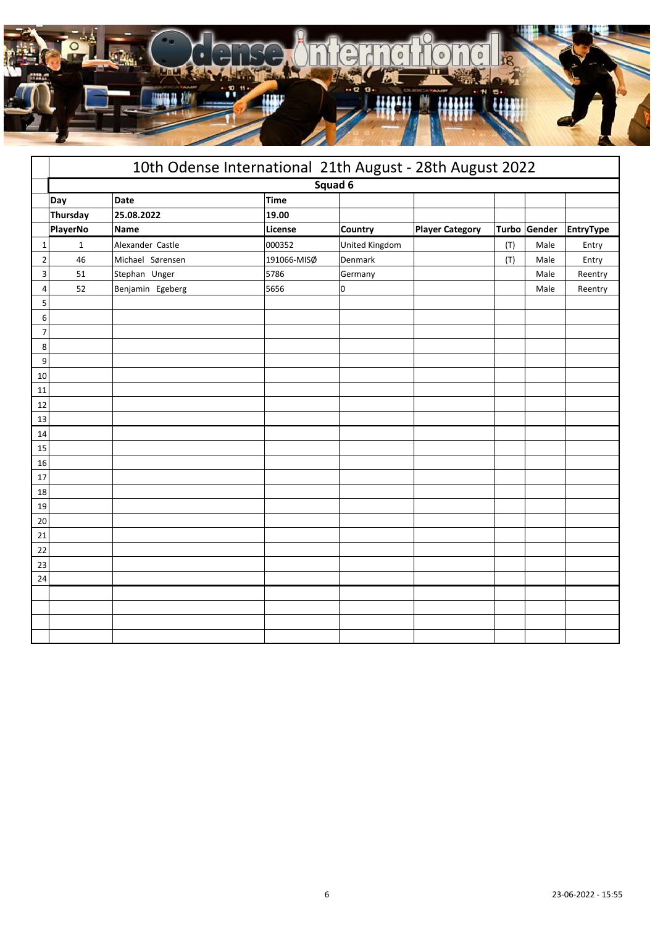

|                |              | 10th Odense International 21th August - 28th August 2022 |             |                |                        |     |              |                  |
|----------------|--------------|----------------------------------------------------------|-------------|----------------|------------------------|-----|--------------|------------------|
|                |              |                                                          |             | Squad 6        |                        |     |              |                  |
|                | Day          | Date                                                     | Time        |                |                        |     |              |                  |
|                | Thursday     | 25.08.2022                                               | 19.00       |                |                        |     |              |                  |
|                | PlayerNo     | Name                                                     | License     | <b>Country</b> | <b>Player Category</b> |     | Turbo Gender | <b>EntryType</b> |
| 1              | $\mathbf{1}$ | Alexander Castle                                         | 000352      | United Kingdom |                        | (T) | Male         | Entry            |
| $\overline{2}$ | 46           | Michael Sørensen                                         | 191066-MISØ | Denmark        |                        | (T) | Male         | Entry            |
| 3              | 51           | Stephan Unger                                            | 5786        | Germany        |                        |     | Male         | Reentry          |
| 4              | 52           | Benjamin Egeberg                                         | 5656        | 0              |                        |     | Male         | Reentry          |
| 5              |              |                                                          |             |                |                        |     |              |                  |
| 6              |              |                                                          |             |                |                        |     |              |                  |
| 7              |              |                                                          |             |                |                        |     |              |                  |
| 8              |              |                                                          |             |                |                        |     |              |                  |
| 9              |              |                                                          |             |                |                        |     |              |                  |
| 10             |              |                                                          |             |                |                        |     |              |                  |
| 11             |              |                                                          |             |                |                        |     |              |                  |
| 12             |              |                                                          |             |                |                        |     |              |                  |
| 13             |              |                                                          |             |                |                        |     |              |                  |
| 14<br>15       |              |                                                          |             |                |                        |     |              |                  |
|                |              |                                                          |             |                |                        |     |              |                  |
| 16<br>17       |              |                                                          |             |                |                        |     |              |                  |
| 18             |              |                                                          |             |                |                        |     |              |                  |
| 19             |              |                                                          |             |                |                        |     |              |                  |
| 20             |              |                                                          |             |                |                        |     |              |                  |
| 21             |              |                                                          |             |                |                        |     |              |                  |
| 22             |              |                                                          |             |                |                        |     |              |                  |
| 23             |              |                                                          |             |                |                        |     |              |                  |
| 24             |              |                                                          |             |                |                        |     |              |                  |
|                |              |                                                          |             |                |                        |     |              |                  |
|                |              |                                                          |             |                |                        |     |              |                  |
|                |              |                                                          |             |                |                        |     |              |                  |
|                |              |                                                          |             |                |                        |     |              |                  |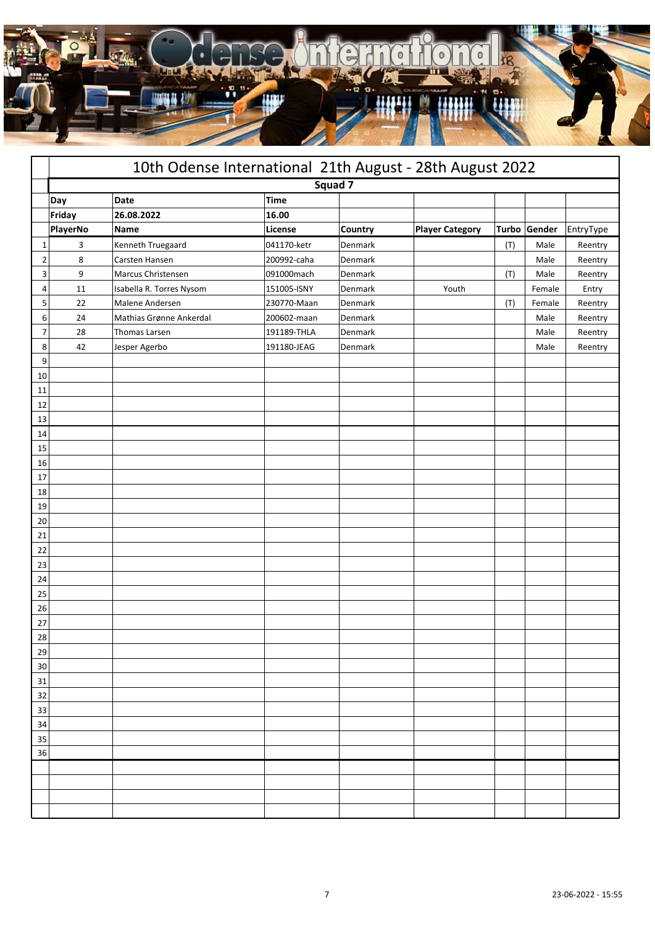

|                | 10th Odense International 21th August - 28th August 2022 |                          |             |         |                        |     |              |           |  |  |
|----------------|----------------------------------------------------------|--------------------------|-------------|---------|------------------------|-----|--------------|-----------|--|--|
|                |                                                          |                          | Squad 7     |         |                        |     |              |           |  |  |
|                | Day                                                      | Date                     | <b>Time</b> |         |                        |     |              |           |  |  |
|                | Friday                                                   | 26.08.2022               | 16.00       |         |                        |     |              |           |  |  |
|                | PlayerNo                                                 | Name                     | License     | Country | <b>Player Category</b> |     | Turbo Gender | EntryType |  |  |
| 1              | 3                                                        | Kenneth Truegaard        | 041170-ketr | Denmark |                        | (T) | Male         | Reentry   |  |  |
| $\overline{2}$ | 8                                                        | Carsten Hansen           | 200992-caha | Denmark |                        |     | Male         | Reentry   |  |  |
| 3              | 9                                                        | Marcus Christensen       | 091000mach  | Denmark |                        | (T) | Male         | Reentry   |  |  |
| 4              | $11\,$                                                   | Isabella R. Torres Nysom | 151005-ISNY | Denmark | Youth                  |     | Female       | Entry     |  |  |
| 5              | 22                                                       | Malene Andersen          | 230770-Maan | Denmark |                        | (T) | Female       | Reentry   |  |  |
| 6              | 24                                                       | Mathias Grønne Ankerdal  | 200602-maan | Denmark |                        |     | Male         | Reentry   |  |  |
| 7              | 28                                                       | Thomas Larsen            | 191189-THLA | Denmark |                        |     | Male         | Reentry   |  |  |
| 8              | 42                                                       | Jesper Agerbo            | 191180-JEAG | Denmark |                        |     | Male         | Reentry   |  |  |
| 9              |                                                          |                          |             |         |                        |     |              |           |  |  |
| 10             |                                                          |                          |             |         |                        |     |              |           |  |  |
| 11             |                                                          |                          |             |         |                        |     |              |           |  |  |
| 12             |                                                          |                          |             |         |                        |     |              |           |  |  |
| 13             |                                                          |                          |             |         |                        |     |              |           |  |  |
| 14             |                                                          |                          |             |         |                        |     |              |           |  |  |
| 15             |                                                          |                          |             |         |                        |     |              |           |  |  |
| 16             |                                                          |                          |             |         |                        |     |              |           |  |  |
| 17             |                                                          |                          |             |         |                        |     |              |           |  |  |
| 18             |                                                          |                          |             |         |                        |     |              |           |  |  |
| 19             |                                                          |                          |             |         |                        |     |              |           |  |  |
| 20             |                                                          |                          |             |         |                        |     |              |           |  |  |
| 21             |                                                          |                          |             |         |                        |     |              |           |  |  |
| 22             |                                                          |                          |             |         |                        |     |              |           |  |  |
| 23             |                                                          |                          |             |         |                        |     |              |           |  |  |
| 24             |                                                          |                          |             |         |                        |     |              |           |  |  |
| 25             |                                                          |                          |             |         |                        |     |              |           |  |  |
| 26<br>27       |                                                          |                          |             |         |                        |     |              |           |  |  |
| 28             |                                                          |                          |             |         |                        |     |              |           |  |  |
| 29             |                                                          |                          |             |         |                        |     |              |           |  |  |
| 30             |                                                          |                          |             |         |                        |     |              |           |  |  |
| 31             |                                                          |                          |             |         |                        |     |              |           |  |  |
| 32             |                                                          |                          |             |         |                        |     |              |           |  |  |
| 33             |                                                          |                          |             |         |                        |     |              |           |  |  |
| 34             |                                                          |                          |             |         |                        |     |              |           |  |  |
| 35             |                                                          |                          |             |         |                        |     |              |           |  |  |
| 36             |                                                          |                          |             |         |                        |     |              |           |  |  |
|                |                                                          |                          |             |         |                        |     |              |           |  |  |
|                |                                                          |                          |             |         |                        |     |              |           |  |  |
|                |                                                          |                          |             |         |                        |     |              |           |  |  |
|                |                                                          |                          |             |         |                        |     |              |           |  |  |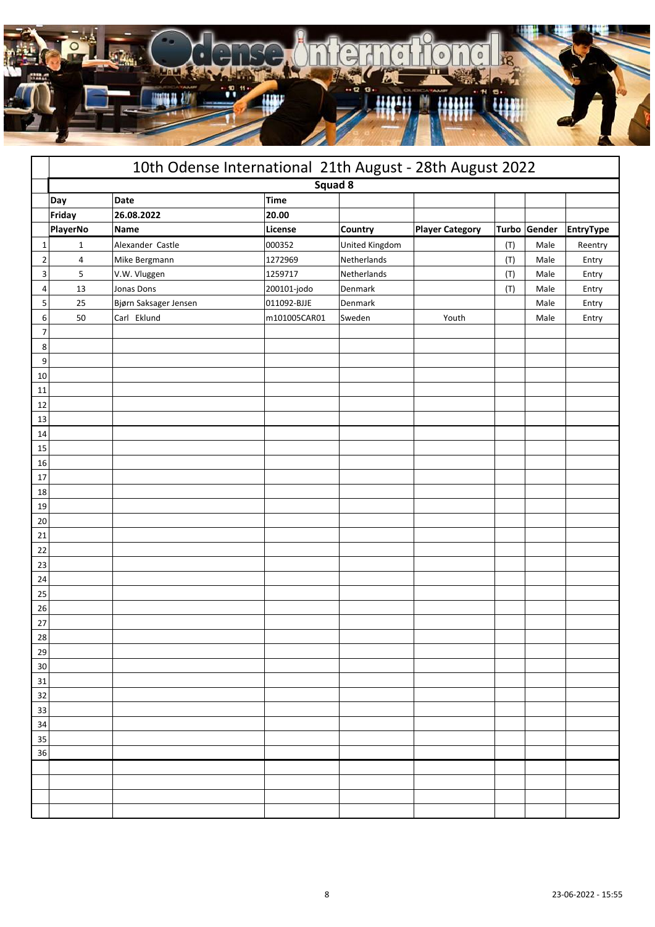

|                | 10th Odense International 21th August - 28th August 2022 |                       |              |                       |                        |       |        |                  |
|----------------|----------------------------------------------------------|-----------------------|--------------|-----------------------|------------------------|-------|--------|------------------|
|                |                                                          |                       | Squad 8      |                       |                        |       |        |                  |
|                | Day                                                      | Date                  | <b>Time</b>  |                       |                        |       |        |                  |
|                | Friday                                                   | 26.08.2022            | 20.00        |                       |                        |       |        |                  |
|                | PlayerNo                                                 | <b>Name</b>           | License      | Country               | <b>Player Category</b> | Turbo | Gender | <b>EntryType</b> |
| $\mathbf 1$    | 1                                                        | Alexander Castle      | 000352       | <b>United Kingdom</b> |                        | (T)   | Male   | Reentry          |
| $\overline{2}$ | 4                                                        | Mike Bergmann         | 1272969      | Netherlands           |                        | (T)   | Male   | Entry            |
| 3              | 5                                                        | V.W. Vluggen          | 1259717      | Netherlands           |                        | (T)   | Male   | Entry            |
| 4              | 13                                                       | Jonas Dons            | 200101-jodo  | Denmark               |                        | (T)   | Male   | Entry            |
| 5              | 25                                                       | Bjørn Saksager Jensen | 011092-BJJE  | Denmark               |                        |       | Male   | Entry            |
| 6              | 50                                                       | Carl Eklund           | m101005CAR01 | Sweden                | Youth                  |       | Male   | Entry            |
| 7              |                                                          |                       |              |                       |                        |       |        |                  |
| 8              |                                                          |                       |              |                       |                        |       |        |                  |
| 9              |                                                          |                       |              |                       |                        |       |        |                  |
| 10             |                                                          |                       |              |                       |                        |       |        |                  |
| 11             |                                                          |                       |              |                       |                        |       |        |                  |
| 12             |                                                          |                       |              |                       |                        |       |        |                  |
| 13             |                                                          |                       |              |                       |                        |       |        |                  |
| 14             |                                                          |                       |              |                       |                        |       |        |                  |
| 15             |                                                          |                       |              |                       |                        |       |        |                  |
| 16             |                                                          |                       |              |                       |                        |       |        |                  |
| 17             |                                                          |                       |              |                       |                        |       |        |                  |
| 18             |                                                          |                       |              |                       |                        |       |        |                  |
| 19             |                                                          |                       |              |                       |                        |       |        |                  |
| 20             |                                                          |                       |              |                       |                        |       |        |                  |
| 21             |                                                          |                       |              |                       |                        |       |        |                  |
| 22             |                                                          |                       |              |                       |                        |       |        |                  |
| 23<br>24       |                                                          |                       |              |                       |                        |       |        |                  |
| 25             |                                                          |                       |              |                       |                        |       |        |                  |
| 26             |                                                          |                       |              |                       |                        |       |        |                  |
| 27             |                                                          |                       |              |                       |                        |       |        |                  |
| 28             |                                                          |                       |              |                       |                        |       |        |                  |
| 29             |                                                          |                       |              |                       |                        |       |        |                  |
| 30             |                                                          |                       |              |                       |                        |       |        |                  |
| 31             |                                                          |                       |              |                       |                        |       |        |                  |
| 32             |                                                          |                       |              |                       |                        |       |        |                  |
| 33             |                                                          |                       |              |                       |                        |       |        |                  |
| 34             |                                                          |                       |              |                       |                        |       |        |                  |
| 35             |                                                          |                       |              |                       |                        |       |        |                  |
| 36             |                                                          |                       |              |                       |                        |       |        |                  |
|                |                                                          |                       |              |                       |                        |       |        |                  |
|                |                                                          |                       |              |                       |                        |       |        |                  |
|                |                                                          |                       |              |                       |                        |       |        |                  |
|                |                                                          |                       |              |                       |                        |       |        |                  |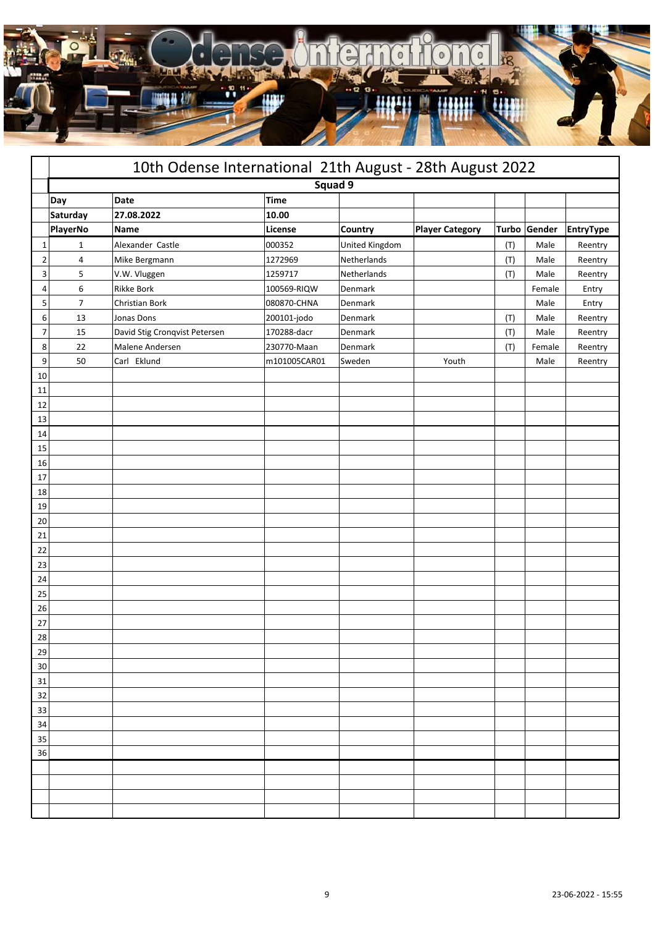

|                |                | 10th Odense International 21th August - 28th August 2022 |              |                |                        |     |              |                  |  |  |  |
|----------------|----------------|----------------------------------------------------------|--------------|----------------|------------------------|-----|--------------|------------------|--|--|--|
|                |                |                                                          | Squad 9      |                |                        |     |              |                  |  |  |  |
|                | Day            | Date                                                     | <b>Time</b>  |                |                        |     |              |                  |  |  |  |
|                | Saturday       | 27.08.2022                                               | 10.00        |                |                        |     |              |                  |  |  |  |
|                | PlayerNo       | Name                                                     | License      | Country        | <b>Player Category</b> |     | Turbo Gender | <b>EntryType</b> |  |  |  |
| 1              | $\mathbf{1}$   | Alexander Castle                                         | 000352       | United Kingdom |                        | (T) | Male         | Reentry          |  |  |  |
| $\overline{2}$ | 4              | Mike Bergmann                                            | 1272969      | Netherlands    |                        | (T) | Male         | Reentry          |  |  |  |
| 3              | 5              | V.W. Vluggen                                             | 1259717      | Netherlands    |                        | (T) | Male         | Reentry          |  |  |  |
| 4              | 6              | Rikke Bork                                               | 100569-RIQW  | Denmark        |                        |     | Female       | Entry            |  |  |  |
| 5              | $\overline{7}$ | Christian Bork                                           | 080870-CHNA  | Denmark        |                        |     | Male         | Entry            |  |  |  |
| 6              | 13             | Jonas Dons                                               | 200101-jodo  | Denmark        |                        | (T) | Male         | Reentry          |  |  |  |
| 7              | 15             | David Stig Cronqvist Petersen                            | 170288-dacr  | Denmark        |                        | (T) | Male         | Reentry          |  |  |  |
| 8              | 22             | Malene Andersen                                          | 230770-Maan  | Denmark        |                        | (T) | Female       | Reentry          |  |  |  |
| 9              | 50             | Carl Eklund                                              | m101005CAR01 | Sweden         | Youth                  |     | Male         | Reentry          |  |  |  |
| 10             |                |                                                          |              |                |                        |     |              |                  |  |  |  |
| 11             |                |                                                          |              |                |                        |     |              |                  |  |  |  |
| 12             |                |                                                          |              |                |                        |     |              |                  |  |  |  |
| 13             |                |                                                          |              |                |                        |     |              |                  |  |  |  |
| 14             |                |                                                          |              |                |                        |     |              |                  |  |  |  |
| 15             |                |                                                          |              |                |                        |     |              |                  |  |  |  |
| 16             |                |                                                          |              |                |                        |     |              |                  |  |  |  |
| 17             |                |                                                          |              |                |                        |     |              |                  |  |  |  |
| 18             |                |                                                          |              |                |                        |     |              |                  |  |  |  |
| 19             |                |                                                          |              |                |                        |     |              |                  |  |  |  |
| 20             |                |                                                          |              |                |                        |     |              |                  |  |  |  |
| 21             |                |                                                          |              |                |                        |     |              |                  |  |  |  |
| 22             |                |                                                          |              |                |                        |     |              |                  |  |  |  |
| 23             |                |                                                          |              |                |                        |     |              |                  |  |  |  |
| 24             |                |                                                          |              |                |                        |     |              |                  |  |  |  |
| 25<br>26       |                |                                                          |              |                |                        |     |              |                  |  |  |  |
| 27             |                |                                                          |              |                |                        |     |              |                  |  |  |  |
| 28             |                |                                                          |              |                |                        |     |              |                  |  |  |  |
| 29             |                |                                                          |              |                |                        |     |              |                  |  |  |  |
| 30             |                |                                                          |              |                |                        |     |              |                  |  |  |  |
| 31             |                |                                                          |              |                |                        |     |              |                  |  |  |  |
| 32             |                |                                                          |              |                |                        |     |              |                  |  |  |  |
| 33             |                |                                                          |              |                |                        |     |              |                  |  |  |  |
| 34             |                |                                                          |              |                |                        |     |              |                  |  |  |  |
| 35             |                |                                                          |              |                |                        |     |              |                  |  |  |  |
| 36             |                |                                                          |              |                |                        |     |              |                  |  |  |  |
|                |                |                                                          |              |                |                        |     |              |                  |  |  |  |
|                |                |                                                          |              |                |                        |     |              |                  |  |  |  |
|                |                |                                                          |              |                |                        |     |              |                  |  |  |  |
|                |                |                                                          |              |                |                        |     |              |                  |  |  |  |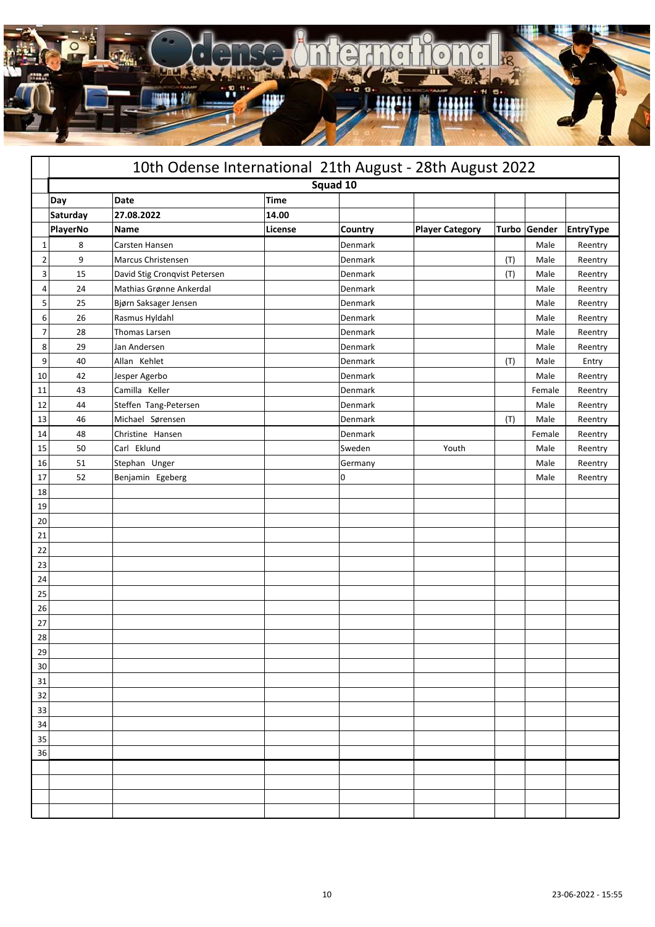

|                |          | 10th Odense International 21th August - 28th August 2022 |             |         |                        |              |        |                  |
|----------------|----------|----------------------------------------------------------|-------------|---------|------------------------|--------------|--------|------------------|
|                |          |                                                          | Squad 10    |         |                        |              |        |                  |
|                | Day      | <b>Date</b>                                              | <b>Time</b> |         |                        |              |        |                  |
|                | Saturday | 27.08.2022                                               | 14.00       |         |                        |              |        |                  |
|                | PlayerNo | Name                                                     | License     | Country | <b>Player Category</b> | <b>Turbo</b> | Gender | <b>EntryType</b> |
| 1              | 8        | Carsten Hansen                                           |             | Denmark |                        |              | Male   | Reentry          |
| $\overline{2}$ | 9        | Marcus Christensen                                       |             | Denmark |                        | (T)          | Male   | Reentry          |
| 3              | 15       | David Stig Cronqvist Petersen                            |             | Denmark |                        | (T)          | Male   | Reentry          |
| 4              | 24       | Mathias Grønne Ankerdal                                  |             | Denmark |                        |              | Male   | Reentry          |
| 5              | 25       | Bjørn Saksager Jensen                                    |             | Denmark |                        |              | Male   | Reentry          |
| 6              | 26       | Rasmus Hyldahl                                           |             | Denmark |                        |              | Male   | Reentry          |
| $\overline{7}$ | 28       | Thomas Larsen                                            |             | Denmark |                        |              | Male   | Reentry          |
| 8              | 29       | Jan Andersen                                             |             | Denmark |                        |              | Male   | Reentry          |
| 9              | 40       | Allan Kehlet                                             |             | Denmark |                        | (T)          | Male   | Entry            |
| 10             | 42       | Jesper Agerbo                                            |             | Denmark |                        |              | Male   | Reentry          |
| 11             | 43       | Camilla Keller                                           |             | Denmark |                        |              | Female | Reentry          |
| 12             | 44       | Steffen Tang-Petersen                                    |             | Denmark |                        |              | Male   | Reentry          |
| 13             | 46       | Michael Sørensen                                         |             | Denmark |                        | (T)          | Male   | Reentry          |
| 14             | 48       | Christine Hansen                                         |             | Denmark |                        |              | Female | Reentry          |
| 15             | 50       | Carl Eklund                                              |             | Sweden  | Youth                  |              | Male   | Reentry          |
| 16             | 51       | Stephan Unger                                            |             | Germany |                        |              | Male   | Reentry          |
| 17             | 52       | Benjamin Egeberg                                         |             | 0       |                        |              | Male   | Reentry          |
| 18             |          |                                                          |             |         |                        |              |        |                  |
| 19             |          |                                                          |             |         |                        |              |        |                  |
| 20             |          |                                                          |             |         |                        |              |        |                  |
| 21             |          |                                                          |             |         |                        |              |        |                  |
| 22             |          |                                                          |             |         |                        |              |        |                  |
| 23             |          |                                                          |             |         |                        |              |        |                  |
| 24             |          |                                                          |             |         |                        |              |        |                  |
| 25             |          |                                                          |             |         |                        |              |        |                  |
| 26             |          |                                                          |             |         |                        |              |        |                  |
| 27             |          |                                                          |             |         |                        |              |        |                  |
| 28             |          |                                                          |             |         |                        |              |        |                  |
| 29             |          |                                                          |             |         |                        |              |        |                  |
| 30             |          |                                                          |             |         |                        |              |        |                  |
| 31             |          |                                                          |             |         |                        |              |        |                  |
| 32             |          |                                                          |             |         |                        |              |        |                  |
| 33             |          |                                                          |             |         |                        |              |        |                  |
| 34             |          |                                                          |             |         |                        |              |        |                  |
| 35             |          |                                                          |             |         |                        |              |        |                  |
| 36             |          |                                                          |             |         |                        |              |        |                  |
|                |          |                                                          |             |         |                        |              |        |                  |
|                |          |                                                          |             |         |                        |              |        |                  |
|                |          |                                                          |             |         |                        |              |        |                  |
|                |          |                                                          |             |         |                        |              |        |                  |